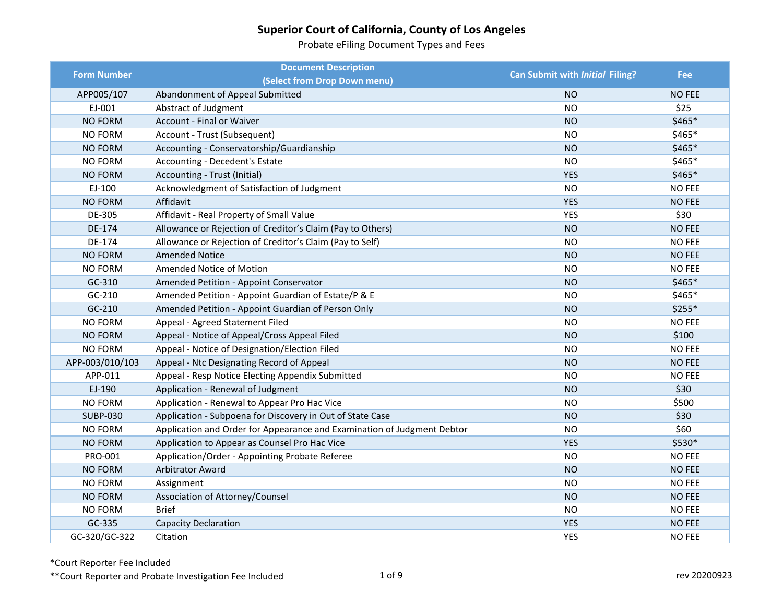Probate eFiling Document Types and Fees

| <b>Form Number</b> | <b>Document Description</b>                                             | <b>Can Submit with Initial Filing?</b> | <b>Fee</b>    |
|--------------------|-------------------------------------------------------------------------|----------------------------------------|---------------|
|                    | (Select from Drop Down menu)                                            |                                        |               |
| APP005/107         | Abandonment of Appeal Submitted                                         | <b>NO</b>                              | <b>NO FEE</b> |
| EJ-001             | Abstract of Judgment                                                    | <b>NO</b>                              | \$25          |
| <b>NO FORM</b>     | Account - Final or Waiver                                               | <b>NO</b>                              | \$465*        |
| <b>NO FORM</b>     | Account - Trust (Subsequent)                                            | <b>NO</b>                              | \$465*        |
| <b>NO FORM</b>     | Accounting - Conservatorship/Guardianship                               | <b>NO</b>                              | \$465*        |
| NO FORM            | Accounting - Decedent's Estate                                          | <b>NO</b>                              | \$465*        |
| <b>NO FORM</b>     | Accounting - Trust (Initial)                                            | <b>YES</b>                             | $$465*$       |
| EJ-100             | Acknowledgment of Satisfaction of Judgment                              | <b>NO</b>                              | <b>NO FEE</b> |
| <b>NO FORM</b>     | Affidavit                                                               | <b>YES</b>                             | <b>NO FEE</b> |
| DE-305             | Affidavit - Real Property of Small Value                                | <b>YES</b>                             | \$30          |
| DE-174             | Allowance or Rejection of Creditor's Claim (Pay to Others)              | <b>NO</b>                              | <b>NO FEE</b> |
| DE-174             | Allowance or Rejection of Creditor's Claim (Pay to Self)                | <b>NO</b>                              | <b>NO FEE</b> |
| <b>NO FORM</b>     | <b>Amended Notice</b>                                                   | <b>NO</b>                              | <b>NO FEE</b> |
| <b>NO FORM</b>     | Amended Notice of Motion                                                | <b>NO</b>                              | <b>NO FEE</b> |
| GC-310             | Amended Petition - Appoint Conservator                                  | <b>NO</b>                              | $$465*$       |
| GC-210             | Amended Petition - Appoint Guardian of Estate/P & E                     | <b>NO</b>                              | \$465*        |
| GC-210             | Amended Petition - Appoint Guardian of Person Only                      | <b>NO</b>                              | $$255*$       |
| NO FORM            | Appeal - Agreed Statement Filed                                         | <b>NO</b>                              | <b>NO FEE</b> |
| <b>NO FORM</b>     | Appeal - Notice of Appeal/Cross Appeal Filed                            | <b>NO</b>                              | \$100         |
| <b>NO FORM</b>     | Appeal - Notice of Designation/Election Filed                           | <b>NO</b>                              | <b>NO FEE</b> |
| APP-003/010/103    | Appeal - Ntc Designating Record of Appeal                               | <b>NO</b>                              | <b>NO FEE</b> |
| APP-011            | Appeal - Resp Notice Electing Appendix Submitted                        | <b>NO</b>                              | <b>NO FEE</b> |
| EJ-190             | Application - Renewal of Judgment                                       | <b>NO</b>                              | \$30          |
| NO FORM            | Application - Renewal to Appear Pro Hac Vice                            | <b>NO</b>                              | \$500         |
| <b>SUBP-030</b>    | Application - Subpoena for Discovery in Out of State Case               | <b>NO</b>                              | \$30          |
| <b>NO FORM</b>     | Application and Order for Appearance and Examination of Judgment Debtor | <b>NO</b>                              | \$60          |
| <b>NO FORM</b>     | Application to Appear as Counsel Pro Hac Vice                           | <b>YES</b>                             | \$530*        |
| PRO-001            | Application/Order - Appointing Probate Referee                          | <b>NO</b>                              | <b>NO FEE</b> |
| <b>NO FORM</b>     | <b>Arbitrator Award</b>                                                 | <b>NO</b>                              | <b>NO FEE</b> |
| NO FORM            | Assignment                                                              | <b>NO</b>                              | <b>NO FEE</b> |
| <b>NO FORM</b>     | Association of Attorney/Counsel                                         | <b>NO</b>                              | <b>NO FEE</b> |
| NO FORM            | <b>Brief</b>                                                            | <b>NO</b>                              | <b>NO FEE</b> |
| GC-335             | <b>Capacity Declaration</b>                                             | <b>YES</b>                             | <b>NO FEE</b> |
| GC-320/GC-322      | Citation                                                                | <b>YES</b>                             | <b>NO FEE</b> |

\*Court Reporter Fee Included

\*\*Court Reporter and Probate Investigation Fee Included 1 of 9 and 1 of 9 rev 20200923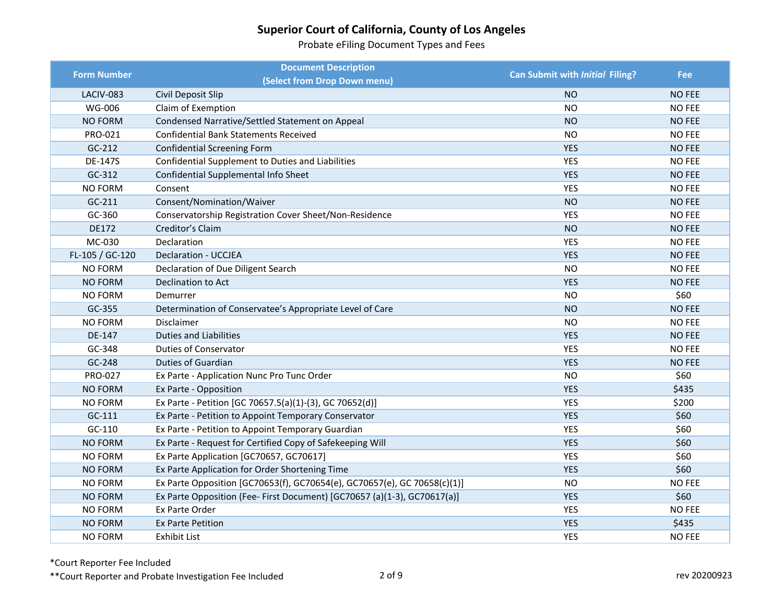Probate eFiling Document Types and Fees

| <b>Form Number</b> | <b>Document Description</b>                                              | Can Submit with Initial Filing? | <b>Fee</b>    |
|--------------------|--------------------------------------------------------------------------|---------------------------------|---------------|
|                    | (Select from Drop Down menu)                                             |                                 |               |
| LACIV-083          | Civil Deposit Slip                                                       | <b>NO</b>                       | <b>NO FEE</b> |
| <b>WG-006</b>      | Claim of Exemption                                                       | <b>NO</b>                       | <b>NO FEE</b> |
| <b>NO FORM</b>     | Condensed Narrative/Settled Statement on Appeal                          | <b>NO</b>                       | <b>NO FEE</b> |
| PRO-021            | <b>Confidential Bank Statements Received</b>                             | <b>NO</b>                       | <b>NO FEE</b> |
| $GC-212$           | <b>Confidential Screening Form</b>                                       | <b>YES</b>                      | <b>NO FEE</b> |
| DE-147S            | Confidential Supplement to Duties and Liabilities                        | <b>YES</b>                      | <b>NO FEE</b> |
| GC-312             | Confidential Supplemental Info Sheet                                     | <b>YES</b>                      | <b>NO FEE</b> |
| <b>NO FORM</b>     | Consent                                                                  | <b>YES</b>                      | <b>NO FEE</b> |
| $GC-211$           | Consent/Nomination/Waiver                                                | <b>NO</b>                       | <b>NO FEE</b> |
| GC-360             | Conservatorship Registration Cover Sheet/Non-Residence                   | <b>YES</b>                      | <b>NO FEE</b> |
| <b>DE172</b>       | Creditor's Claim                                                         | <b>NO</b>                       | <b>NO FEE</b> |
| MC-030             | Declaration                                                              | YES                             | <b>NO FEE</b> |
| FL-105 / GC-120    | Declaration - UCCJEA                                                     | <b>YES</b>                      | <b>NO FEE</b> |
| <b>NO FORM</b>     | Declaration of Due Diligent Search                                       | <b>NO</b>                       | <b>NO FEE</b> |
| <b>NO FORM</b>     | Declination to Act                                                       | <b>YES</b>                      | <b>NO FEE</b> |
| NO FORM            | Demurrer                                                                 | <b>NO</b>                       | \$60          |
| GC-355             | Determination of Conservatee's Appropriate Level of Care                 | <b>NO</b>                       | <b>NO FEE</b> |
| NO FORM            | Disclaimer                                                               | <b>NO</b>                       | <b>NO FEE</b> |
| DE-147             | <b>Duties and Liabilities</b>                                            | <b>YES</b>                      | <b>NO FEE</b> |
| GC-348             | <b>Duties of Conservator</b>                                             | <b>YES</b>                      | <b>NO FEE</b> |
| GC-248             | Duties of Guardian                                                       | <b>YES</b>                      | <b>NO FEE</b> |
| PRO-027            | Ex Parte - Application Nunc Pro Tunc Order                               | <b>NO</b>                       | \$60          |
| NO FORM            | Ex Parte - Opposition                                                    | <b>YES</b>                      | \$435         |
| <b>NO FORM</b>     | Ex Parte - Petition [GC 70657.5(a)(1)-(3), GC 70652(d)]                  | <b>YES</b>                      | \$200         |
| GC-111             | Ex Parte - Petition to Appoint Temporary Conservator                     | <b>YES</b>                      | \$60          |
| $GC-110$           | Ex Parte - Petition to Appoint Temporary Guardian                        | <b>YES</b>                      | \$60          |
| <b>NO FORM</b>     | Ex Parte - Request for Certified Copy of Safekeeping Will                | <b>YES</b>                      | \$60          |
| <b>NO FORM</b>     | Ex Parte Application [GC70657, GC70617]                                  | <b>YES</b>                      | \$60          |
| <b>NO FORM</b>     | Ex Parte Application for Order Shortening Time                           | <b>YES</b>                      | \$60          |
| <b>NO FORM</b>     | Ex Parte Opposition [GC70653(f), GC70654(e), GC70657(e), GC 70658(c)(1)] | <b>NO</b>                       | <b>NO FEE</b> |
| <b>NO FORM</b>     | Ex Parte Opposition (Fee- First Document) [GC70657 (a)(1-3), GC70617(a)] | <b>YES</b>                      | \$60          |
| <b>NO FORM</b>     | Ex Parte Order                                                           | <b>YES</b>                      | <b>NO FEE</b> |
| <b>NO FORM</b>     | <b>Ex Parte Petition</b>                                                 | <b>YES</b>                      | \$435         |
| NO FORM            | <b>Exhibit List</b>                                                      | <b>YES</b>                      | <b>NO FEE</b> |

\*Court Reporter Fee Included

\*\*Court Reporter and Probate Investigation Fee Included 2 of 9 **2** and 2 of 9 rev 20200923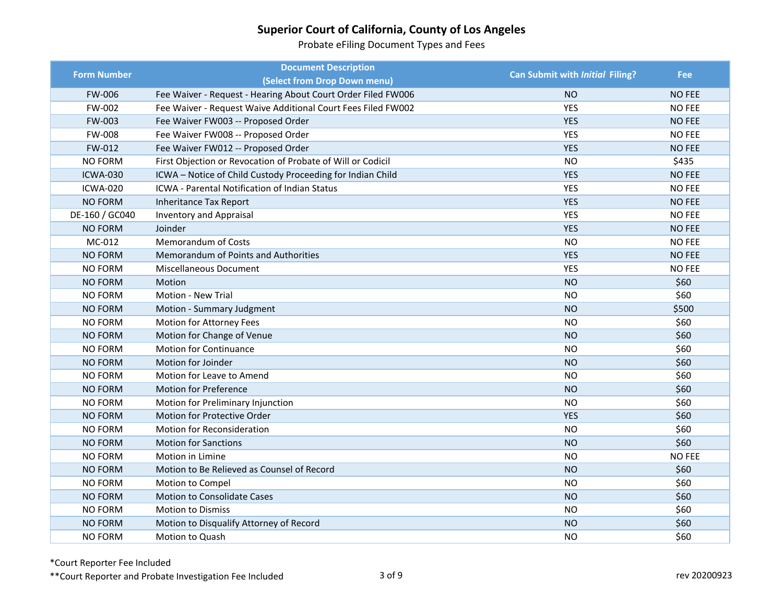Probate eFiling Document Types and Fees

| <b>Form Number</b> | <b>Document Description</b>                                  | Can Submit with Initial Filing? | <b>Fee</b>    |
|--------------------|--------------------------------------------------------------|---------------------------------|---------------|
|                    | (Select from Drop Down menu)                                 |                                 |               |
| <b>FW-006</b>      | Fee Waiver - Request - Hearing About Court Order Filed FW006 | <b>NO</b>                       | <b>NO FEE</b> |
| FW-002             | Fee Waiver - Request Waive Additional Court Fees Filed FW002 | <b>YES</b>                      | <b>NO FEE</b> |
| FW-003             | Fee Waiver FW003 -- Proposed Order                           | <b>YES</b>                      | <b>NO FEE</b> |
| FW-008             | Fee Waiver FW008 -- Proposed Order                           | <b>YES</b>                      | <b>NO FEE</b> |
| FW-012             | Fee Waiver FW012 -- Proposed Order                           | <b>YES</b>                      | <b>NO FEE</b> |
| <b>NO FORM</b>     | First Objection or Revocation of Probate of Will or Codicil  | <b>NO</b>                       | \$435         |
| <b>ICWA-030</b>    | ICWA - Notice of Child Custody Proceeding for Indian Child   | <b>YES</b>                      | <b>NO FEE</b> |
| <b>ICWA-020</b>    | ICWA - Parental Notification of Indian Status                | <b>YES</b>                      | <b>NO FEE</b> |
| <b>NO FORM</b>     | <b>Inheritance Tax Report</b>                                | <b>YES</b>                      | <b>NO FEE</b> |
| DE-160 / GC040     | <b>Inventory and Appraisal</b>                               | <b>YES</b>                      | <b>NO FEE</b> |
| <b>NO FORM</b>     | Joinder                                                      | <b>YES</b>                      | <b>NO FEE</b> |
| MC-012             | Memorandum of Costs                                          | <b>NO</b>                       | <b>NO FEE</b> |
| <b>NO FORM</b>     | Memorandum of Points and Authorities                         | <b>YES</b>                      | <b>NO FEE</b> |
| <b>NO FORM</b>     | <b>Miscellaneous Document</b>                                | <b>YES</b>                      | <b>NO FEE</b> |
| <b>NO FORM</b>     | Motion                                                       | <b>NO</b>                       | \$60          |
| <b>NO FORM</b>     | Motion - New Trial                                           | <b>NO</b>                       | \$60          |
| <b>NO FORM</b>     | Motion - Summary Judgment                                    | <b>NO</b>                       | \$500         |
| NO FORM            | Motion for Attorney Fees                                     | <b>NO</b>                       | \$60          |
| <b>NO FORM</b>     | Motion for Change of Venue                                   | <b>NO</b>                       | \$60          |
| <b>NO FORM</b>     | <b>Motion for Continuance</b>                                | <b>NO</b>                       | \$60          |
| <b>NO FORM</b>     | Motion for Joinder                                           | <b>NO</b>                       | \$60          |
| <b>NO FORM</b>     | Motion for Leave to Amend                                    | <b>NO</b>                       | \$60          |
| <b>NO FORM</b>     | Motion for Preference                                        | <b>NO</b>                       | \$60          |
| <b>NO FORM</b>     | Motion for Preliminary Injunction                            | <b>NO</b>                       | \$60          |
| <b>NO FORM</b>     | Motion for Protective Order                                  | <b>YES</b>                      | \$60          |
| <b>NO FORM</b>     | Motion for Reconsideration                                   | <b>NO</b>                       | \$60          |
| <b>NO FORM</b>     | <b>Motion for Sanctions</b>                                  | <b>NO</b>                       | \$60          |
| <b>NO FORM</b>     | Motion in Limine                                             | <b>NO</b>                       | <b>NO FEE</b> |
| <b>NO FORM</b>     | Motion to Be Relieved as Counsel of Record                   | <b>NO</b>                       | \$60          |
| <b>NO FORM</b>     | Motion to Compel                                             | <b>NO</b>                       | \$60          |
| <b>NO FORM</b>     | Motion to Consolidate Cases                                  | <b>NO</b>                       | \$60          |
| <b>NO FORM</b>     | <b>Motion to Dismiss</b>                                     | <b>NO</b>                       | \$60          |
| <b>NO FORM</b>     | Motion to Disqualify Attorney of Record                      | <b>NO</b>                       | \$60          |
| <b>NO FORM</b>     | Motion to Quash                                              | <b>NO</b>                       | \$60          |

\*Court Reporter Fee Included

\*\*Court Reporter and Probate Investigation Fee Included 3 of 9 and 3 of 9 rev 20200923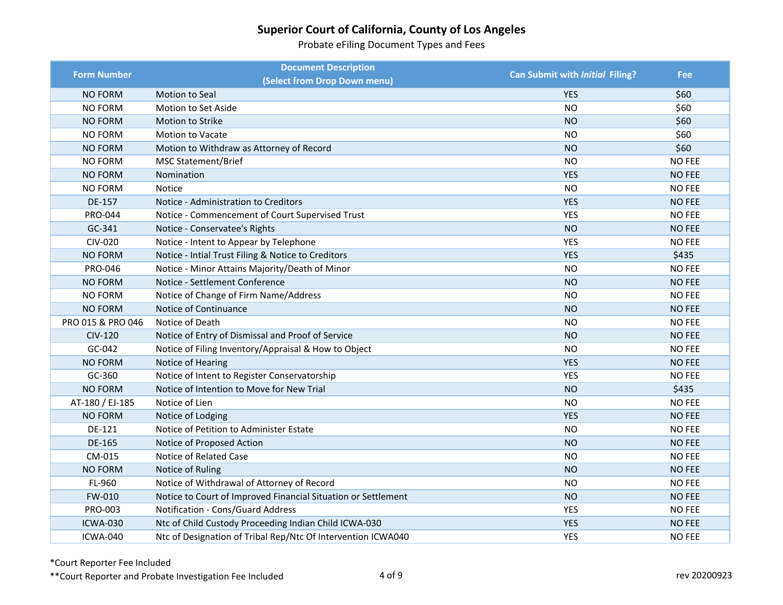Probate eFiling Document Types and Fees

| <b>Form Number</b> | <b>Document Description</b>                                   | Can Submit with Initial Filing? | <b>Fee</b>    |
|--------------------|---------------------------------------------------------------|---------------------------------|---------------|
|                    | (Select from Drop Down menu)                                  |                                 |               |
| <b>NO FORM</b>     | Motion to Seal                                                | <b>YES</b>                      | \$60          |
| <b>NO FORM</b>     | Motion to Set Aside                                           | <b>NO</b>                       | \$60          |
| <b>NO FORM</b>     | <b>Motion to Strike</b>                                       | <b>NO</b>                       | \$60          |
| <b>NO FORM</b>     | <b>Motion to Vacate</b>                                       | <b>NO</b>                       | \$60          |
| <b>NO FORM</b>     | Motion to Withdraw as Attorney of Record                      | <b>NO</b>                       | \$60          |
| NO FORM            | <b>MSC Statement/Brief</b>                                    | <b>NO</b>                       | <b>NO FEE</b> |
| NO FORM            | Nomination                                                    | <b>YES</b>                      | <b>NO FEE</b> |
| <b>NO FORM</b>     | <b>Notice</b>                                                 | <b>NO</b>                       | <b>NO FEE</b> |
| DE-157             | Notice - Administration to Creditors                          | <b>YES</b>                      | <b>NO FEE</b> |
| PRO-044            | Notice - Commencement of Court Supervised Trust               | <b>YES</b>                      | <b>NO FEE</b> |
| GC-341             | Notice - Conservatee's Rights                                 | <b>NO</b>                       | <b>NO FEE</b> |
| <b>CIV-020</b>     | Notice - Intent to Appear by Telephone                        | <b>YES</b>                      | <b>NO FEE</b> |
| <b>NO FORM</b>     | Notice - Intial Trust Filing & Notice to Creditors            | <b>YES</b>                      | \$435         |
| PRO-046            | Notice - Minor Attains Majority/Death of Minor                | <b>NO</b>                       | <b>NO FEE</b> |
| <b>NO FORM</b>     | Notice - Settlement Conference                                | <b>NO</b>                       | <b>NO FEE</b> |
| <b>NO FORM</b>     | Notice of Change of Firm Name/Address                         | NO.                             | <b>NO FEE</b> |
| <b>NO FORM</b>     | Notice of Continuance                                         | <b>NO</b>                       | <b>NO FEE</b> |
| PRO 015 & PRO 046  | Notice of Death                                               | <b>NO</b>                       | <b>NO FEE</b> |
| <b>CIV-120</b>     | Notice of Entry of Dismissal and Proof of Service             | <b>NO</b>                       | <b>NO FEE</b> |
| GC-042             | Notice of Filing Inventory/Appraisal & How to Object          | <b>NO</b>                       | <b>NO FEE</b> |
| <b>NO FORM</b>     | Notice of Hearing                                             | <b>YES</b>                      | <b>NO FEE</b> |
| GC-360             | Notice of Intent to Register Conservatorship                  | <b>YES</b>                      | <b>NO FEE</b> |
| NO FORM            | Notice of Intention to Move for New Trial                     | <b>NO</b>                       | \$435         |
| AT-180 / EJ-185    | Notice of Lien                                                | <b>NO</b>                       | <b>NO FEE</b> |
| <b>NO FORM</b>     | Notice of Lodging                                             | <b>YES</b>                      | <b>NO FEE</b> |
| DE-121             | Notice of Petition to Administer Estate                       | <b>NO</b>                       | <b>NO FEE</b> |
| DE-165             | Notice of Proposed Action                                     | <b>NO</b>                       | <b>NO FEE</b> |
| CM-015             | Notice of Related Case                                        | <b>NO</b>                       | <b>NO FEE</b> |
| <b>NO FORM</b>     | Notice of Ruling                                              | <b>NO</b>                       | <b>NO FEE</b> |
| FL-960             | Notice of Withdrawal of Attorney of Record                    | <b>NO</b>                       | <b>NO FEE</b> |
| FW-010             | Notice to Court of Improved Financial Situation or Settlement | <b>NO</b>                       | <b>NO FEE</b> |
| PRO-003            | Notification - Cons/Guard Address                             | <b>YES</b>                      | <b>NO FEE</b> |
| <b>ICWA-030</b>    | Ntc of Child Custody Proceeding Indian Child ICWA-030         | <b>YES</b>                      | <b>NO FEE</b> |
| ICWA-040           | Ntc of Designation of Tribal Rep/Ntc Of Intervention ICWA040  | <b>YES</b>                      | <b>NO FEE</b> |

\*Court Reporter Fee Included

\*\*Court Reporter and Probate Investigation Fee Included 4 of 9 and 4 of 9 rev 20200923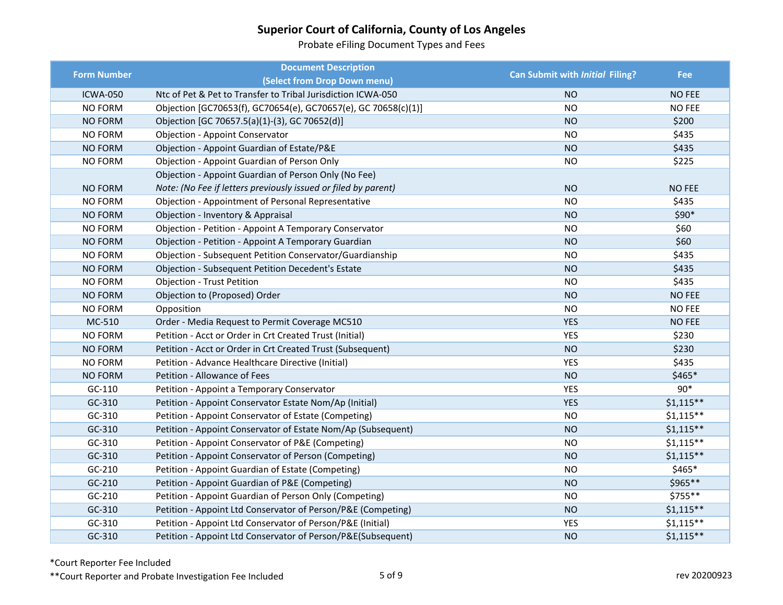Probate eFiling Document Types and Fees

| <b>Form Number</b> | <b>Document Description</b>                                    | Can Submit with Initial Filing? | Fee           |
|--------------------|----------------------------------------------------------------|---------------------------------|---------------|
|                    | (Select from Drop Down menu)                                   |                                 |               |
| <b>ICWA-050</b>    | Ntc of Pet & Pet to Transfer to Tribal Jurisdiction ICWA-050   | <b>NO</b>                       | <b>NO FEE</b> |
| <b>NO FORM</b>     | Objection [GC70653(f), GC70654(e), GC70657(e), GC 70658(c)(1)] | <b>NO</b>                       | <b>NO FEE</b> |
| <b>NO FORM</b>     | Objection [GC 70657.5(a)(1)-(3), GC 70652(d)]                  | <b>NO</b>                       | \$200         |
| NO FORM            | <b>Objection - Appoint Conservator</b>                         | <b>NO</b>                       | \$435         |
| <b>NO FORM</b>     | Objection - Appoint Guardian of Estate/P&E                     | <b>NO</b>                       | \$435         |
| <b>NO FORM</b>     | Objection - Appoint Guardian of Person Only                    | <b>NO</b>                       | \$225         |
|                    | Objection - Appoint Guardian of Person Only (No Fee)           |                                 |               |
| <b>NO FORM</b>     | Note: (No Fee if letters previously issued or filed by parent) | <b>NO</b>                       | <b>NO FEE</b> |
| <b>NO FORM</b>     | Objection - Appointment of Personal Representative             | <b>NO</b>                       | \$435         |
| <b>NO FORM</b>     | Objection - Inventory & Appraisal                              | <b>NO</b>                       | \$90*         |
| <b>NO FORM</b>     | Objection - Petition - Appoint A Temporary Conservator         | <b>NO</b>                       | \$60          |
| NO FORM            | Objection - Petition - Appoint A Temporary Guardian            | <b>NO</b>                       | \$60          |
| <b>NO FORM</b>     | Objection - Subsequent Petition Conservator/Guardianship       | <b>NO</b>                       | \$435         |
| <b>NO FORM</b>     | Objection - Subsequent Petition Decedent's Estate              | <b>NO</b>                       | \$435         |
| NO FORM            | Objection - Trust Petition                                     | <b>NO</b>                       | \$435         |
| <b>NO FORM</b>     | Objection to (Proposed) Order                                  | <b>NO</b>                       | <b>NO FEE</b> |
| NO FORM            | Opposition                                                     | <b>NO</b>                       | NO FEE        |
| MC-510             | Order - Media Request to Permit Coverage MC510                 | <b>YES</b>                      | <b>NO FEE</b> |
| <b>NO FORM</b>     | Petition - Acct or Order in Crt Created Trust (Initial)        | <b>YES</b>                      | \$230         |
| <b>NO FORM</b>     | Petition - Acct or Order in Crt Created Trust (Subsequent)     | <b>NO</b>                       | \$230         |
| NO FORM            | Petition - Advance Healthcare Directive (Initial)              | <b>YES</b>                      | \$435         |
| <b>NO FORM</b>     | Petition - Allowance of Fees                                   | <b>NO</b>                       | \$465*        |
| GC-110             | Petition - Appoint a Temporary Conservator                     | <b>YES</b>                      | $90*$         |
| GC-310             | Petition - Appoint Conservator Estate Nom/Ap (Initial)         | <b>YES</b>                      | $$1,115**$    |
| GC-310             | Petition - Appoint Conservator of Estate (Competing)           | <b>NO</b>                       | $$1,115**$    |
| GC-310             | Petition - Appoint Conservator of Estate Nom/Ap (Subsequent)   | <b>NO</b>                       | $$1,115**$    |
| GC-310             | Petition - Appoint Conservator of P&E (Competing)              | <b>NO</b>                       | $$1,115**$    |
| GC-310             | Petition - Appoint Conservator of Person (Competing)           | <b>NO</b>                       | $$1,115**$    |
| GC-210             | Petition - Appoint Guardian of Estate (Competing)              | <b>NO</b>                       | $$465*$       |
| GC-210             | Petition - Appoint Guardian of P&E (Competing)                 | <b>NO</b>                       | \$965**       |
| $GC-210$           | Petition - Appoint Guardian of Person Only (Competing)         | <b>NO</b>                       | \$755**       |
| GC-310             | Petition - Appoint Ltd Conservator of Person/P&E (Competing)   | <b>NO</b>                       | $$1,115**$    |
| GC-310             | Petition - Appoint Ltd Conservator of Person/P&E (Initial)     | <b>YES</b>                      | $$1,115**$    |
| GC-310             | Petition - Appoint Ltd Conservator of Person/P&E(Subsequent)   | <b>NO</b>                       | $$1,115**$    |

\*Court Reporter Fee Included

\*\*Court Reporter and Probate Investigation Fee Included 5 of 9 rev 20200923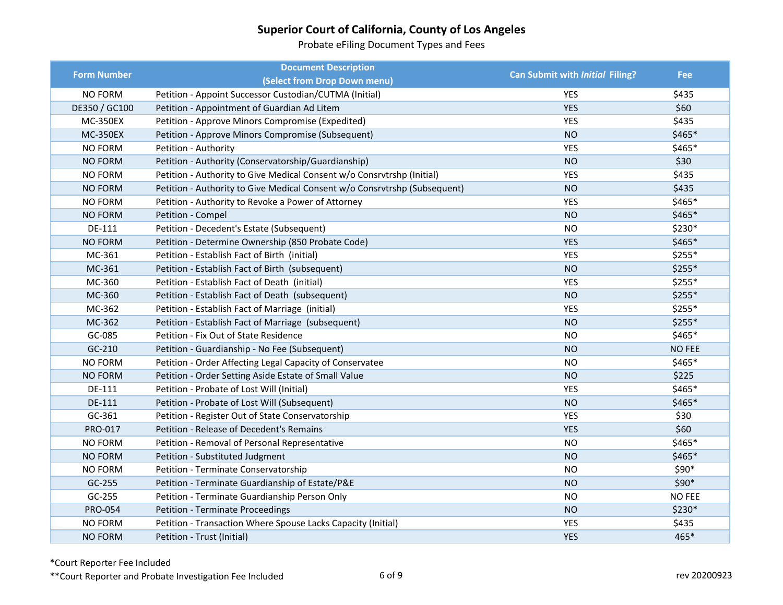Probate eFiling Document Types and Fees

| <b>Form Number</b> | <b>Document Description</b>                                               | Can Submit with Initial Filing? | <b>Fee</b>    |
|--------------------|---------------------------------------------------------------------------|---------------------------------|---------------|
|                    | (Select from Drop Down menu)                                              |                                 |               |
| <b>NO FORM</b>     | Petition - Appoint Successor Custodian/CUTMA (Initial)                    | <b>YES</b>                      | \$435         |
| DE350 / GC100      | Petition - Appointment of Guardian Ad Litem                               | <b>YES</b>                      | \$60          |
| <b>MC-350EX</b>    | Petition - Approve Minors Compromise (Expedited)                          | <b>YES</b>                      | \$435         |
| <b>MC-350EX</b>    | Petition - Approve Minors Compromise (Subsequent)                         | <b>NO</b>                       | \$465*        |
| <b>NO FORM</b>     | Petition - Authority                                                      | <b>YES</b>                      | \$465*        |
| <b>NO FORM</b>     | Petition - Authority (Conservatorship/Guardianship)                       | <b>NO</b>                       | \$30          |
| <b>NO FORM</b>     | Petition - Authority to Give Medical Consent w/o Consrvtrshp (Initial)    | <b>YES</b>                      | \$435         |
| <b>NO FORM</b>     | Petition - Authority to Give Medical Consent w/o Consrvtrshp (Subsequent) | <b>NO</b>                       | \$435         |
| <b>NO FORM</b>     | Petition - Authority to Revoke a Power of Attorney                        | <b>YES</b>                      | \$465*        |
| <b>NO FORM</b>     | Petition - Compel                                                         | <b>NO</b>                       | \$465*        |
| <b>DE-111</b>      | Petition - Decedent's Estate (Subsequent)                                 | <b>NO</b>                       | \$230*        |
| <b>NO FORM</b>     | Petition - Determine Ownership (850 Probate Code)                         | <b>YES</b>                      | \$465*        |
| MC-361             | Petition - Establish Fact of Birth (initial)                              | <b>YES</b>                      | $$255*$       |
| MC-361             | Petition - Establish Fact of Birth (subsequent)                           | <b>NO</b>                       | $$255*$       |
| MC-360             | Petition - Establish Fact of Death (initial)                              | <b>YES</b>                      | $$255*$       |
| MC-360             | Petition - Establish Fact of Death (subsequent)                           | <b>NO</b>                       | $$255*$       |
| MC-362             | Petition - Establish Fact of Marriage (initial)                           | <b>YES</b>                      | $$255*$       |
| MC-362             | Petition - Establish Fact of Marriage (subsequent)                        | <b>NO</b>                       | \$255*        |
| GC-085             | Petition - Fix Out of State Residence                                     | <b>NO</b>                       | $$465*$       |
| GC-210             | Petition - Guardianship - No Fee (Subsequent)                             | <b>NO</b>                       | <b>NO FEE</b> |
| NO FORM            | Petition - Order Affecting Legal Capacity of Conservatee                  | <b>NO</b>                       | \$465*        |
| <b>NO FORM</b>     | Petition - Order Setting Aside Estate of Small Value                      | <b>NO</b>                       | \$225         |
| DE-111             | Petition - Probate of Lost Will (Initial)                                 | <b>YES</b>                      | \$465*        |
| DE-111             | Petition - Probate of Lost Will (Subsequent)                              | <b>NO</b>                       | \$465*        |
| GC-361             | Petition - Register Out of State Conservatorship                          | <b>YES</b>                      | \$30          |
| PRO-017            | Petition - Release of Decedent's Remains                                  | <b>YES</b>                      | \$60          |
| <b>NO FORM</b>     | Petition - Removal of Personal Representative                             | <b>NO</b>                       | \$465*        |
| <b>NO FORM</b>     | Petition - Substituted Judgment                                           | <b>NO</b>                       | \$465*        |
| <b>NO FORM</b>     | Petition - Terminate Conservatorship                                      | <b>NO</b>                       | \$90*         |
| GC-255             | Petition - Terminate Guardianship of Estate/P&E                           | <b>NO</b>                       | \$90*         |
| GC-255             | Petition - Terminate Guardianship Person Only                             | <b>NO</b>                       | <b>NO FEE</b> |
| <b>PRO-054</b>     | <b>Petition - Terminate Proceedings</b>                                   | <b>NO</b>                       | $$230*$       |
| NO FORM            | Petition - Transaction Where Spouse Lacks Capacity (Initial)              | <b>YES</b>                      | \$435         |
| <b>NO FORM</b>     | Petition - Trust (Initial)                                                | <b>YES</b>                      | 465*          |

\*Court Reporter Fee Included

\*\*Court Reporter and Probate Investigation Fee Included 6 of 9 6 of 9 rev 20200923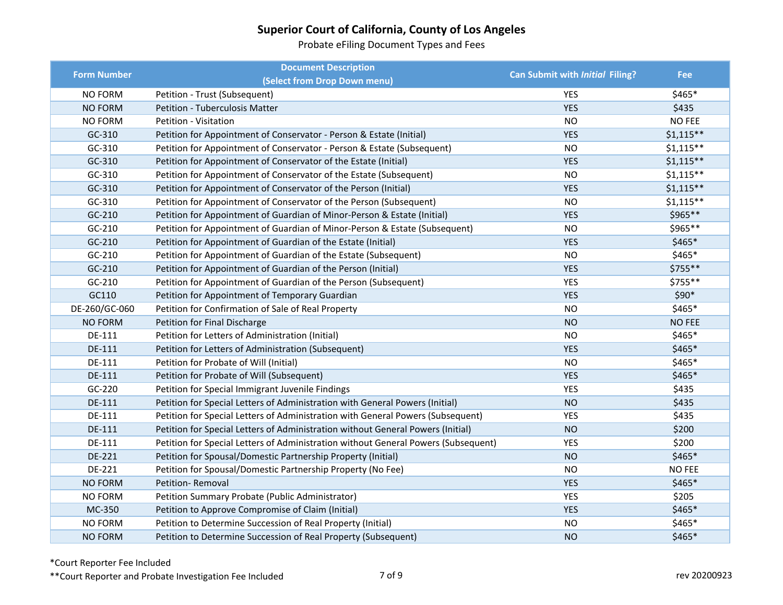Probate eFiling Document Types and Fees

| <b>Form Number</b> | <b>Document Description</b>                                                        | Can Submit with Initial Filing? | Fee           |
|--------------------|------------------------------------------------------------------------------------|---------------------------------|---------------|
|                    | (Select from Drop Down menu)                                                       |                                 |               |
| <b>NO FORM</b>     | Petition - Trust (Subsequent)                                                      | <b>YES</b>                      | \$465*        |
| NO FORM            | <b>Petition - Tuberculosis Matter</b>                                              | <b>YES</b>                      | \$435         |
| <b>NO FORM</b>     | Petition - Visitation                                                              | <b>NO</b>                       | <b>NO FEE</b> |
| GC-310             | Petition for Appointment of Conservator - Person & Estate (Initial)                | <b>YES</b>                      | $$1,115**$    |
| GC-310             | Petition for Appointment of Conservator - Person & Estate (Subsequent)             | <b>NO</b>                       | $$1,115**$    |
| GC-310             | Petition for Appointment of Conservator of the Estate (Initial)                    | <b>YES</b>                      | $$1,115**$    |
| GC-310             | Petition for Appointment of Conservator of the Estate (Subsequent)                 | <b>NO</b>                       | $$1,115**$    |
| GC-310             | Petition for Appointment of Conservator of the Person (Initial)                    | <b>YES</b>                      | $$1,115**$    |
| GC-310             | Petition for Appointment of Conservator of the Person (Subsequent)                 | <b>NO</b>                       | $$1,115**$    |
| GC-210             | Petition for Appointment of Guardian of Minor-Person & Estate (Initial)            | <b>YES</b>                      | \$965**       |
| GC-210             | Petition for Appointment of Guardian of Minor-Person & Estate (Subsequent)         | <b>NO</b>                       | \$965**       |
| $GC-210$           | Petition for Appointment of Guardian of the Estate (Initial)                       | <b>YES</b>                      | $$465*$       |
| $GC-210$           | Petition for Appointment of Guardian of the Estate (Subsequent)                    | <b>NO</b>                       | \$465*        |
| $GC-210$           | Petition for Appointment of Guardian of the Person (Initial)                       | <b>YES</b>                      | \$755**       |
| $GC-210$           | Petition for Appointment of Guardian of the Person (Subsequent)                    | <b>YES</b>                      | \$755**       |
| GC110              | Petition for Appointment of Temporary Guardian                                     | <b>YES</b>                      | $$90*$        |
| DE-260/GC-060      | Petition for Confirmation of Sale of Real Property                                 | <b>NO</b>                       | $$465*$       |
| <b>NO FORM</b>     | Petition for Final Discharge                                                       | <b>NO</b>                       | <b>NO FEE</b> |
| DE-111             | Petition for Letters of Administration (Initial)                                   | <b>NO</b>                       | \$465*        |
| DE-111             | Petition for Letters of Administration (Subsequent)                                | <b>YES</b>                      | $$465*$       |
| DE-111             | Petition for Probate of Will (Initial)                                             | <b>NO</b>                       | \$465*        |
| DE-111             | Petition for Probate of Will (Subsequent)                                          | <b>YES</b>                      | $$465*$       |
| GC-220             | Petition for Special Immigrant Juvenile Findings                                   | <b>YES</b>                      | \$435         |
| DE-111             | Petition for Special Letters of Administration with General Powers (Initial)       | <b>NO</b>                       | \$435         |
| DE-111             | Petition for Special Letters of Administration with General Powers (Subsequent)    | <b>YES</b>                      | \$435         |
| DE-111             | Petition for Special Letters of Administration without General Powers (Initial)    | <b>NO</b>                       | \$200         |
| DE-111             | Petition for Special Letters of Administration without General Powers (Subsequent) | <b>YES</b>                      | \$200         |
| DE-221             | Petition for Spousal/Domestic Partnership Property (Initial)                       | <b>NO</b>                       | $$465*$       |
| DE-221             | Petition for Spousal/Domestic Partnership Property (No Fee)                        | <b>NO</b>                       | NO FEE        |
| <b>NO FORM</b>     | Petition-Removal                                                                   | <b>YES</b>                      | \$465*        |
| NO FORM            | Petition Summary Probate (Public Administrator)                                    | <b>YES</b>                      | \$205         |
| MC-350             | Petition to Approve Compromise of Claim (Initial)                                  | <b>YES</b>                      | \$465*        |
| <b>NO FORM</b>     | Petition to Determine Succession of Real Property (Initial)                        | <b>NO</b>                       | $$465*$       |
| <b>NO FORM</b>     | Petition to Determine Succession of Real Property (Subsequent)                     | <b>NO</b>                       | \$465*        |

\*Court Reporter Fee Included

\*\*Court Reporter and Probate Investigation Fee Included 7 of 9 7 and 30 and 30 and 30 and 30 and 30 and 30 and 30 and 30 and 30 and 30 and 30 and 30 and 30 and 30 and 30 and 30 and 30 and 30 and 30 and 30 and 30 and 30 and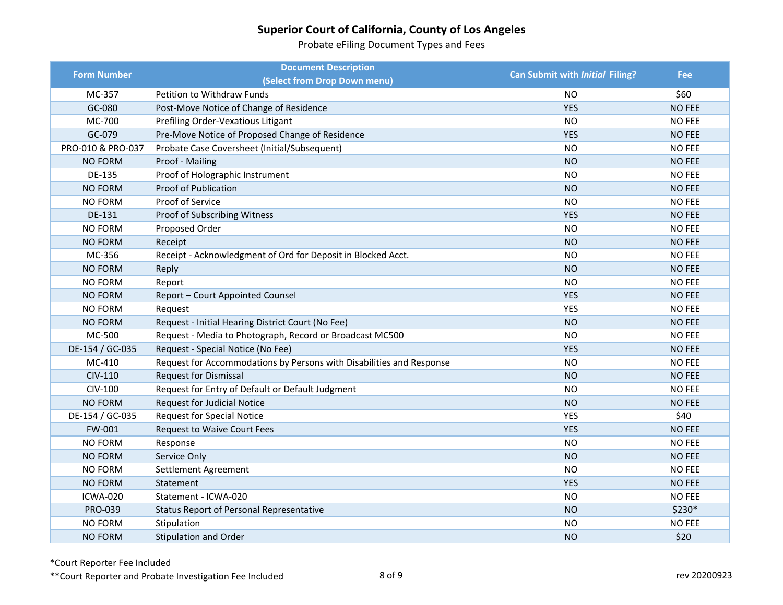Probate eFiling Document Types and Fees

| <b>Form Number</b> | <b>Document Description</b>                                          | Can Submit with Initial Filing? | <b>Fee</b>    |
|--------------------|----------------------------------------------------------------------|---------------------------------|---------------|
|                    | (Select from Drop Down menu)                                         |                                 |               |
| MC-357             | Petition to Withdraw Funds                                           | NO.                             | \$60          |
| GC-080             | Post-Move Notice of Change of Residence                              | <b>YES</b>                      | <b>NO FEE</b> |
| MC-700             | Prefiling Order-Vexatious Litigant                                   | <b>NO</b>                       | <b>NO FEE</b> |
| GC-079             | Pre-Move Notice of Proposed Change of Residence                      | <b>YES</b>                      | <b>NO FEE</b> |
| PRO-010 & PRO-037  | Probate Case Coversheet (Initial/Subsequent)                         | <b>NO</b>                       | <b>NO FEE</b> |
| <b>NO FORM</b>     | Proof - Mailing                                                      | <b>NO</b>                       | <b>NO FEE</b> |
| DE-135             | Proof of Holographic Instrument                                      | <b>NO</b>                       | <b>NO FEE</b> |
| <b>NO FORM</b>     | <b>Proof of Publication</b>                                          | <b>NO</b>                       | <b>NO FEE</b> |
| NO FORM            | Proof of Service                                                     | <b>NO</b>                       | <b>NO FEE</b> |
| DE-131             | Proof of Subscribing Witness                                         | <b>YES</b>                      | <b>NO FEE</b> |
| <b>NO FORM</b>     | Proposed Order                                                       | <b>NO</b>                       | <b>NO FEE</b> |
| <b>NO FORM</b>     | Receipt                                                              | <b>NO</b>                       | <b>NO FEE</b> |
| MC-356             | Receipt - Acknowledgment of Ord for Deposit in Blocked Acct.         | <b>NO</b>                       | <b>NO FEE</b> |
| <b>NO FORM</b>     | Reply                                                                | <b>NO</b>                       | <b>NO FEE</b> |
| NO FORM            | Report                                                               | <b>NO</b>                       | <b>NO FEE</b> |
| <b>NO FORM</b>     | Report - Court Appointed Counsel                                     | <b>YES</b>                      | <b>NO FEE</b> |
| NO FORM            | Request                                                              | <b>YES</b>                      | <b>NO FEE</b> |
| <b>NO FORM</b>     | Request - Initial Hearing District Court (No Fee)                    | <b>NO</b>                       | <b>NO FEE</b> |
| MC-500             | Request - Media to Photograph, Record or Broadcast MC500             | <b>NO</b>                       | <b>NO FEE</b> |
| DE-154 / GC-035    | Request - Special Notice (No Fee)                                    | <b>YES</b>                      | <b>NO FEE</b> |
| MC-410             | Request for Accommodations by Persons with Disabilities and Response | <b>NO</b>                       | <b>NO FEE</b> |
| CIV-110            | <b>Request for Dismissal</b>                                         | <b>NO</b>                       | <b>NO FEE</b> |
| CIV-100            | Request for Entry of Default or Default Judgment                     | <b>NO</b>                       | <b>NO FEE</b> |
| <b>NO FORM</b>     | <b>Request for Judicial Notice</b>                                   | <b>NO</b>                       | <b>NO FEE</b> |
| DE-154 / GC-035    | <b>Request for Special Notice</b>                                    | <b>YES</b>                      | \$40          |
| FW-001             | <b>Request to Waive Court Fees</b>                                   | <b>YES</b>                      | <b>NO FEE</b> |
| <b>NO FORM</b>     | Response                                                             | <b>NO</b>                       | <b>NO FEE</b> |
| <b>NO FORM</b>     | Service Only                                                         | <b>NO</b>                       | <b>NO FEE</b> |
| <b>NO FORM</b>     | Settlement Agreement                                                 | <b>NO</b>                       | <b>NO FEE</b> |
| <b>NO FORM</b>     | Statement                                                            | <b>YES</b>                      | <b>NO FEE</b> |
| ICWA-020           | Statement - ICWA-020                                                 | <b>NO</b>                       | <b>NO FEE</b> |
| PRO-039            | Status Report of Personal Representative                             | <b>NO</b>                       | $$230*$       |
| <b>NO FORM</b>     | Stipulation                                                          | <b>NO</b>                       | <b>NO FEE</b> |
| <b>NO FORM</b>     | <b>Stipulation and Order</b>                                         | <b>NO</b>                       | \$20          |

\*Court Reporter Fee Included

\*\*Court Reporter and Probate Investigation Fee Included 8 of 9 8 and 3 and 3 and 3 and 3 and 3 and 3 and 3 and 3 and 3 and 3 and 3 and 4 and 3 and 4 and 3 and 4 and 4 and 4 and 4 and 4 and 4 and 4 and 4 and 4 and 4 and 4 a